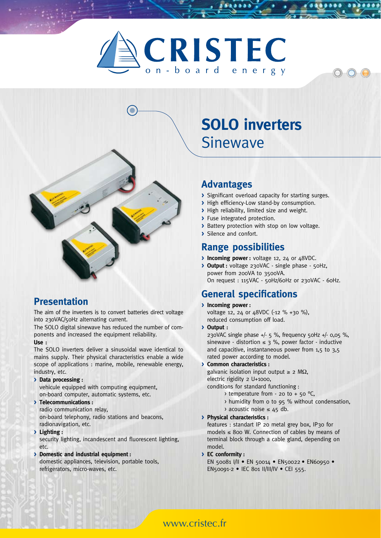# CRISTEC on-board energy



### **Presentation**

The aim of the inverters is to convert batteries direct voltage into 230VAC/50Hz alternating current.

The SOLO digital sinewave has reduced the number of components and increased the equipment reliability.

#### **Use :**

The SOLO inverters deliver a sinusoidal wave identical to mains supply. Their physical characteristics enable a wide scope of applications : marine, mobile, renewable energy, industry, etc.

**> Data processing :**

vehicule equipped with computing equipment, on-board computer, automatic systems, etc.

#### **> Telecommunications :**

radio communication relay, on-board telephony, radio stations and beacons, radionavigation, etc.

**> Lighting :**

security lighting, incandescent and fluorescent lighting, etc.

**> Domestic and industrial equipment :** domestic appliances, television, portable tools, refrigerators, micro-waves, etc.

# **solo inverters** Sinewave

### **Advantages**

**>** Significant overload capacity for starting surges.

 $O(O)$ 

- **>** High efficiency-Low stand-by consumption.
- **>** High reliability, limited size and weight.
- **>** Fuse integrated protection.
- **>** Battery protection with stop on low voltage.
- **>** Silence and confort.

#### **Range possibilities**

- **> Incoming power :** voltage 12, 24 or 48VDC.
- **> Output :** voltage 230VAC single phase 50Hz, power from 200VA to 3500VA. On request : 115VAC - 50Hz/60Hz or 230VAC - 60Hz.

#### **General specifications**

- **> Incoming power :** voltage 12, 24 or 48VDC (-12 % +30 %), reduced consumption off load.
- **> Output :**

230VAC single phase  $+/-$  5 %, frequency 50Hz  $+/-$  0,05 %, sinewave - distortion  $\leq$  3 %, power factor - inductive and capacitive, instantaneous power from 1,5 to 3,5 rated power according to model.

**> Common characteristics :**

galvanic isolation input output  $\geq 2$  M $\Omega$ , electric rigidity 2 U+1000,

- conditions for standard functioning :
	- $\rightarrow$  temperature from 20 to + 50 °C,
	- > humidity from 0 to 95 % without condensation,
	- > acoustic noise ≤ 45 db.

#### **> Physical characteristics :**

features : standart IP 20 metal grey box, IP30 for models  $\leq$  800 W. Connection of cables by means of terminal block through a cable gland, depending on model.

**> EC conformity :**

EN 50081 I/II • EN 50014 • EN50022 • EN60950 • EN50091-2 • IEC 801 II/III/IV • CEI 555.

#### www.cristec.fr